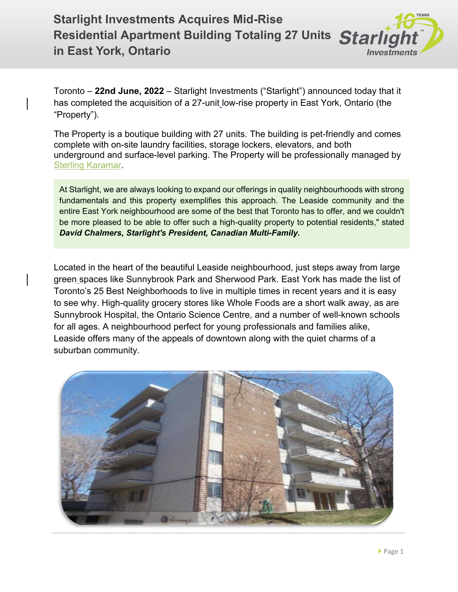## **Starlight Investments Acquires Mid-Rise Residential Apartment Building Totaling 27 Units in East York, Ontario Investmen**

Toronto – **22nd June, 2022** – Starlight Investments ("Starlight") announced today that it has completed the acquisition of a 27-unit low-rise property in East York, Ontario (the "Property").

The Property is a boutique building with 27 units. The building is pet-friendly and comes complete with on-site laundry facilities, storage lockers, elevators, and both underground and surface-level parking. The Property will be professionally managed by [Sterling Karamar.](https://www.sterlingkaramar.com/)

At Starlight, we are always looking to expand our offerings in quality neighbourhoods with strong fundamentals and this property exemplifies this approach. The Leaside community and the entire East York neighbourhood are some of the best that Toronto has to offer, and we couldn't be more pleased to be able to offer such a high-quality property to potential residents," stated *David Chalmers, Starlight's President, Canadian Multi-Family.*

Located in the heart of the beautiful Leaside neighbourhood, just steps away from large green spaces like Sunnybrook Park and Sherwood Park. East York has made the list of Toronto's 25 Best Neighborhoods to live in multiple times in recent years and it is easy to see why. High-quality grocery stores like Whole Foods are a short walk away, as are Sunnybrook Hospital, the Ontario Science Centre, and a number of well-known schools for all ages. A neighbourhood perfect for young professionals and families alike, Leaside offers many of the appeals of downtown along with the quiet charms of a suburban community.